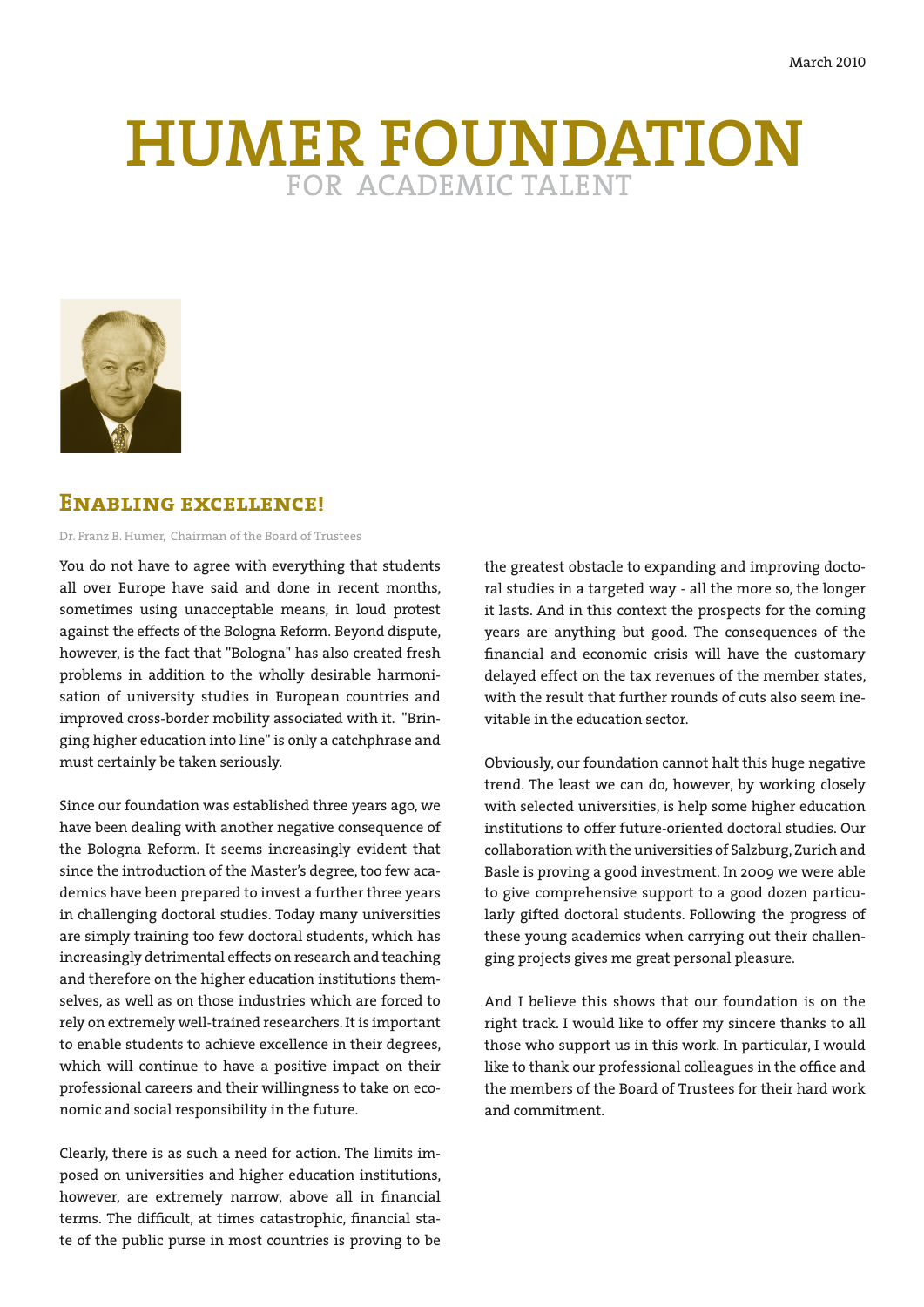# **HUMER FOUNDATION**



# **Enabling excellence!**

Dr. Franz B. Humer, Chairman of the Board of Trustees

You do not have to agree with everything that students all over Europe have said and done in recent months, sometimes using unacceptable means, in loud protest against the effects of the Bologna Reform. Beyond dispute, however, is the fact that "Bologna" has also created fresh problems in addition to the wholly desirable harmonisation of university studies in European countries and improved cross-border mobility associated with it. "Bringing higher education into line" is only a catchphrase and must certainly be taken seriously.

Since our foundation was established three years ago, we have been dealing with another negative consequence of the Bologna Reform. It seems increasingly evident that since the introduction of the Master's degree, too few academics have been prepared to invest a further three years in challenging doctoral studies. Today many universities are simply training too few doctoral students, which has increasingly detrimental effects on research and teaching and therefore on the higher education institutions themselves, as well as on those industries which are forced to rely on extremely well-trained researchers. It is important to enable students to achieve excellence in their degrees, which will continue to have a positive impact on their professional careers and their willingness to take on economic and social responsibility in the future.

Clearly, there is as such a need for action. The limits imposed on universities and higher education institutions, however, are extremely narrow, above all in financial terms. The difficult, at times catastrophic, financial state of the public purse in most countries is proving to be the greatest obstacle to expanding and improving doctoral studies in a targeted way - all the more so, the longer it lasts. And in this context the prospects for the coming years are anything but good. The consequences of the financial and economic crisis will have the customary delayed effect on the tax revenues of the member states, with the result that further rounds of cuts also seem inevitable in the education sector.

Obviously, our foundation cannot halt this huge negative trend. The least we can do, however, by working closely with selected universities, is help some higher education institutions to offer future-oriented doctoral studies. Our collaboration with the universities of Salzburg, Zurich and Basle is proving a good investment. In 2009 we were able to give comprehensive support to a good dozen particularly gifted doctoral students. Following the progress of these young academics when carrying out their challenging projects gives me great personal pleasure.

And I believe this shows that our foundation is on the right track. I would like to offer my sincere thanks to all those who support us in this work. In particular, I would like to thank our professional colleagues in the office and the members of the Board of Trustees for their hard work and commitment.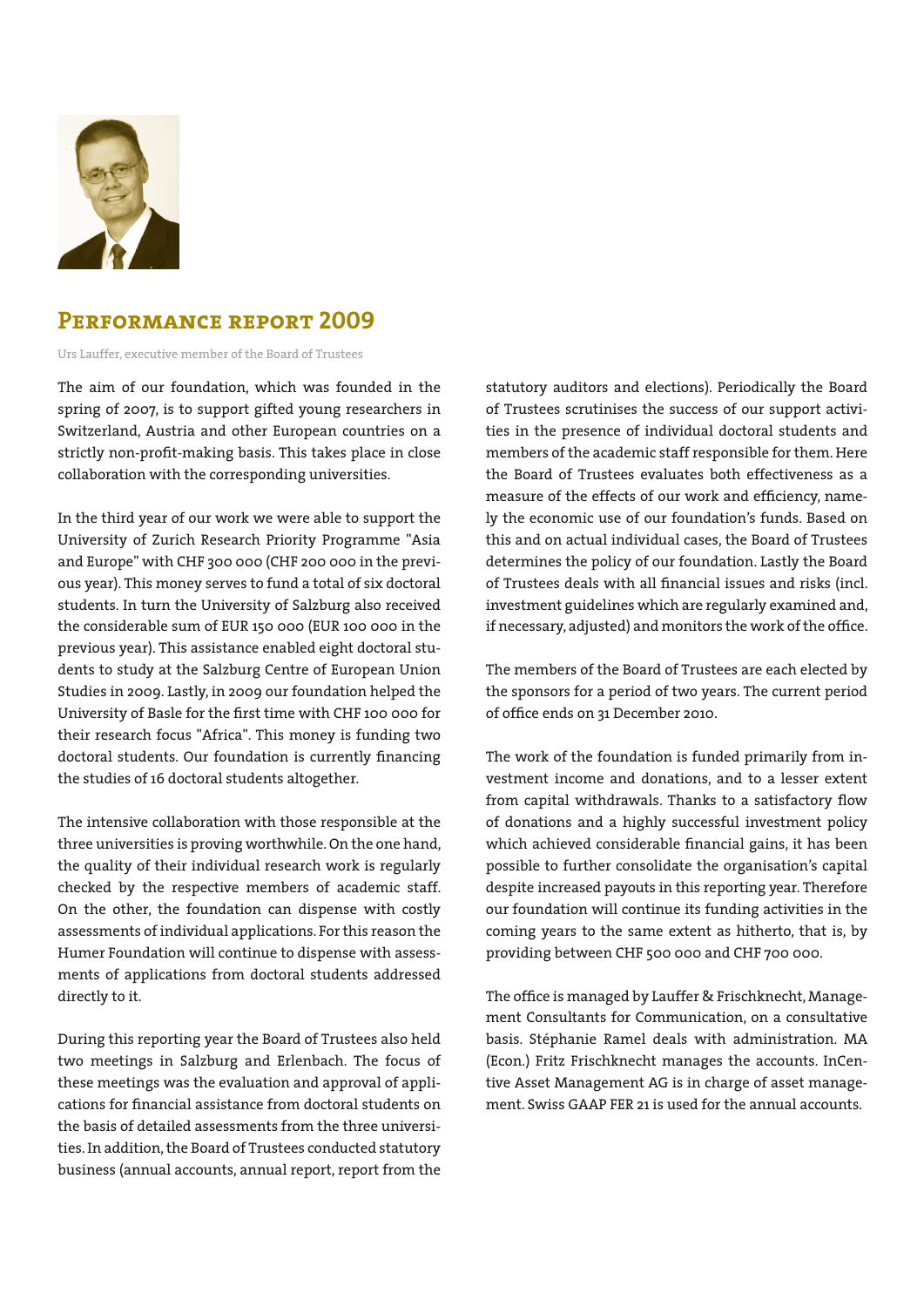

# **Performance report 2009**

Urs Lauffer, executive member of the Board of Trustees

The aim of our foundation, which was founded in the spring of 2007, is to support gifted young researchers in Switzerland, Austria and other European countries on a strictly non-profit-making basis. This takes place in close collaboration with the corresponding universities.

In the third year of our work we were able to support the University of Zurich Research Priority Programme "Asia and Europe" with CHF 300 000 (CHF 200 000 in the previous year). This money serves to fund a total of six doctoral students. In turn the University of Salzburg also received the considerable sum of EUR 150 000 (EUR 100 000 in the previous year). This assistance enabled eight doctoral students to study at the Salzburg Centre of European Union Studies in 2009. Lastly, in 2009 our foundation helped the University of Basle for the first time with CHF 100 000 for their research focus "Africa". This money is funding two doctoral students. Our foundation is currently financing the studies of 16 doctoral students altogether.

The intensive collaboration with those responsible at the three universities is proving worthwhile. On the one hand, the quality of their individual research work is regularly checked by the respective members of academic staff. On the other, the foundation can dispense with costly assessments of individual applications. For this reason the Humer Foundation will continue to dispense with assessments of applications from doctoral students addressed directly to it.

During this reporting year the Board of Trustees also held two meetings in Salzburg and Erlenbach. The focus of these meetings was the evaluation and approval of applications for financial assistance from doctoral students on the basis of detailed assessments from the three universities. In addition, the Board of Trustees conducted statutory business (annual accounts, annual report, report from the

statutory auditors and elections). Periodically the Board of Trustees scrutinises the success of our support activities in the presence of individual doctoral students and members of the academic staff responsible for them. Here the Board of Trustees evaluates both effectiveness as a measure of the effects of our work and efficiency, namely the economic use of our foundation's funds. Based on this and on actual individual cases, the Board of Trustees determines the policy of our foundation. Lastly the Board of Trustees deals with all financial issues and risks (incl. investment guidelines which are regularly examined and, if necessary, adjusted) and monitors the work of the office.

The members of the Board of Trustees are each elected by the sponsors for a period of two years. The current period of office ends on 31 December 2010.

The work of the foundation is funded primarily from investment income and donations, and to a lesser extent from capital withdrawals. Thanks to a satisfactory flow of donations and a highly successful investment policy which achieved considerable financial gains, it has been possible to further consolidate the organisation's capital despite increased payouts in this reporting year. Therefore our foundation will continue its funding activities in the coming years to the same extent as hitherto, that is, by providing between CHF 500 000 and CHF 700 000.

The office is managed by Lauffer & Frischknecht, Management Consultants for Communication, on a consultative basis. Stéphanie Ramel deals with administration. MA (Econ.) Fritz Frischknecht manages the accounts. InCentive Asset Management AG is in charge of asset management. Swiss GAAP FER 21 is used for the annual accounts.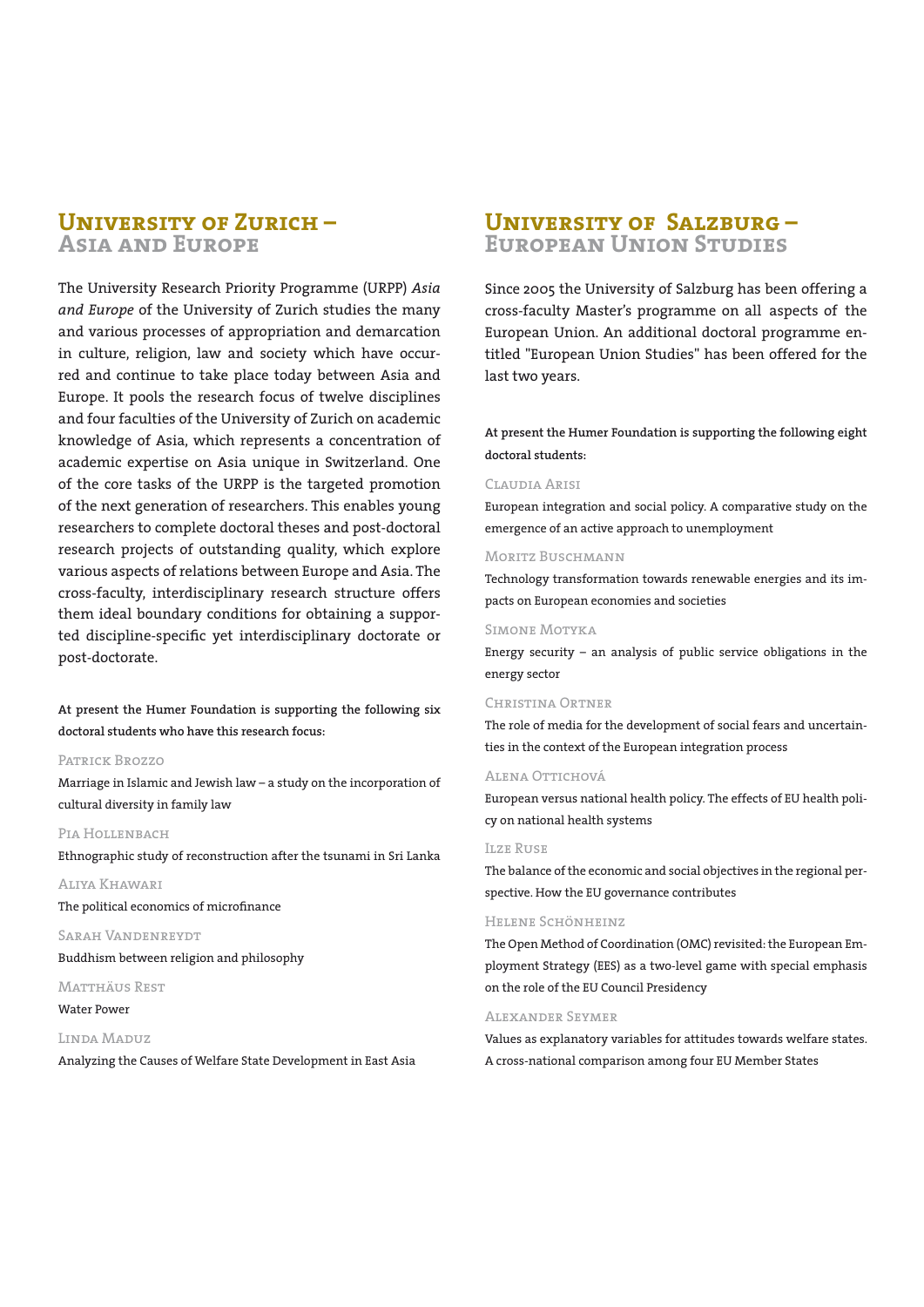# **University of Zurich – Asia and Europe**

The University Research Priority Programme (URPP) *Asia and Europe* of the University of Zurich studies the many and various processes of appropriation and demarcation in culture, religion, law and society which have occurred and continue to take place today between Asia and Europe. It pools the research focus of twelve disciplines and four faculties of the University of Zurich on academic knowledge of Asia, which represents a concentration of academic expertise on Asia unique in Switzerland. One of the core tasks of the URPP is the targeted promotion of the next generation of researchers. This enables young researchers to complete doctoral theses and post-doctoral research projects of outstanding quality, which explore various aspects of relations between Europe and Asia. The cross-faculty, interdisciplinary research structure offers them ideal boundary conditions for obtaining a supported discipline-specific yet interdisciplinary doctorate or post-doctorate.

**At present the Humer Foundation is supporting the following six doctoral students who have this research focus:**

#### Patrick Brozzo

Marriage in Islamic and Jewish law – a study on the incorporation of cultural diversity in family law

### PIA HOLLENBACH

Ethnographic study of reconstruction after the tsunami in Sri Lanka

Aliya Khawari

The political economics of microfinance

Sarah Vandenreydt Buddhism between religion and philosophy

#### Matthäus Rest

Water Power

#### Linda Maduz

Analyzing the Causes of Welfare State Development in East Asia

# **University of Salzburg – European Union Studies**

Since 2005 the University of Salzburg has been offering a cross-faculty Master's programme on all aspects of the European Union. An additional doctoral programme entitled "European Union Studies" has been offered for the last two years.

**At present the Humer Foundation is supporting the following eight doctoral students:**

#### Claudia Arisi

European integration and social policy. A comparative study on the emergence of an active approach to unemployment

#### MORITZ BUSCHMANN

Technology transformation towards renewable energies and its impacts on European economies and societies

#### Simone Motyka

Energy security – an analysis of public service obligations in the energy sector

#### Christina Ortner

The role of media for the development of social fears and uncertainties in the context of the European integration process

#### Alena Ottichová

European versus national health policy. The effects of EU health policy on national health systems

#### Ilze Ruse

The balance of the economic and social objectives in the regional perspective. How the EU governance contributes

#### Helene Schönheinz

The Open Method of Coordination (OMC) revisited: the European Employment Strategy (EES) as a two-level game with special emphasis on the role of the EU Council Presidency

#### Alexander Seymer

Values as explanatory variables for attitudes towards welfare states. A cross-national comparison among four EU Member States